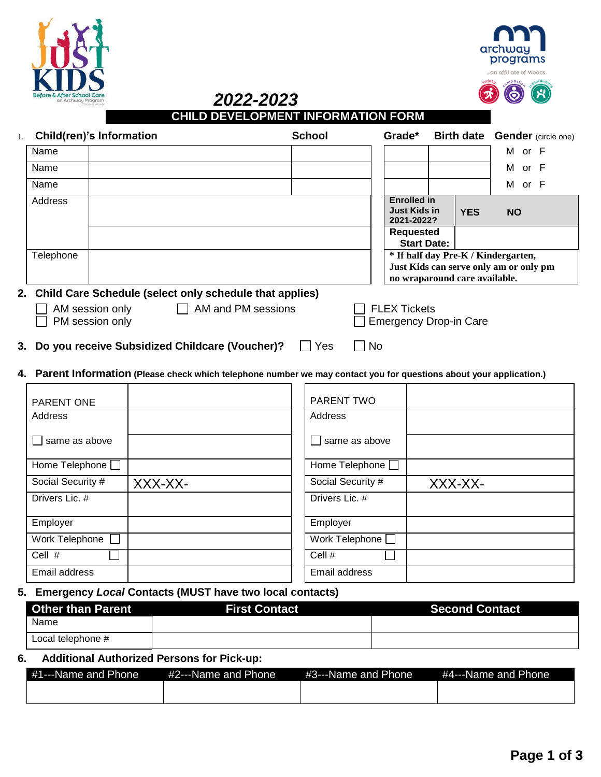





| <b>CHILD DEVELOPMENT INFORMATION FORM</b> |  |
|-------------------------------------------|--|

| 1. |           | Child(ren)'s Information                                   |              |                    | <b>School</b> |           | Grade*                                                  |            | <b>Birth date Gender (circle one)</b>                                         |  |
|----|-----------|------------------------------------------------------------|--------------|--------------------|---------------|-----------|---------------------------------------------------------|------------|-------------------------------------------------------------------------------|--|
|    | Name      |                                                            |              |                    |               |           |                                                         |            | M or F                                                                        |  |
|    | Name      |                                                            |              |                    |               |           |                                                         |            | M or F                                                                        |  |
|    | Name      |                                                            |              |                    |               |           |                                                         |            | M or F                                                                        |  |
|    | Address   |                                                            |              |                    |               |           | <b>Enrolled in</b><br><b>Just Kids in</b><br>2021-2022? | <b>YES</b> | <b>NO</b>                                                                     |  |
|    |           |                                                            |              |                    |               |           | <b>Requested</b><br><b>Start Date:</b>                  |            |                                                                               |  |
|    | Telephone |                                                            |              |                    |               |           | no wraparound care available.                           |            | * If half day Pre-K / Kindergarten,<br>Just Kids can serve only am or only pm |  |
|    |           | 2. Child Care Schedule (select only schedule that applies) |              |                    |               |           |                                                         |            |                                                                               |  |
|    |           | AM session only<br>PM session only                         | $\mathbf{1}$ | AM and PM sessions |               |           | <b>FLEX Tickets</b><br><b>Emergency Drop-in Care</b>    |            |                                                                               |  |
|    |           | 3. Do you receive Subsidized Childcare (Voucher)?          |              |                    | Yes           | <b>No</b> |                                                         |            |                                                                               |  |

**4. Parent Information (Please check which telephone number we may contact you for questions about your application.)**

| <b>PARENT ONE</b> |         | PARENT TWO            |         |
|-------------------|---------|-----------------------|---------|
| Address           |         | Address               |         |
| same as above     |         | $\Box$ same as above  |         |
| Home Telephone [  |         | Home Telephone [      |         |
| Social Security # | XXX-XX- | Social Security #     | XXX-XX- |
| Drivers Lic. #    |         | Drivers Lic. #        |         |
| Employer          |         | Employer              |         |
| Work Telephone [  |         | Work Telephone $\Box$ |         |
| Cell #            |         | Cell #                |         |
| Email address     |         | Email address         |         |

**5. Emergency** *Local* **Contacts (MUST have two local contacts)**

| <b>Other than Parent</b> | <b>First Contact</b> | <b>Second Contact</b> |
|--------------------------|----------------------|-----------------------|
| Name                     |                      |                       |
| Local telephone #        |                      |                       |

**6. Additional Authorized Persons for Pick-up:**

| #1---Name and Phone | #2---Name and Phone | #3---Name and Phone | #4---Name and Phone |
|---------------------|---------------------|---------------------|---------------------|
|                     |                     |                     |                     |
|                     |                     |                     |                     |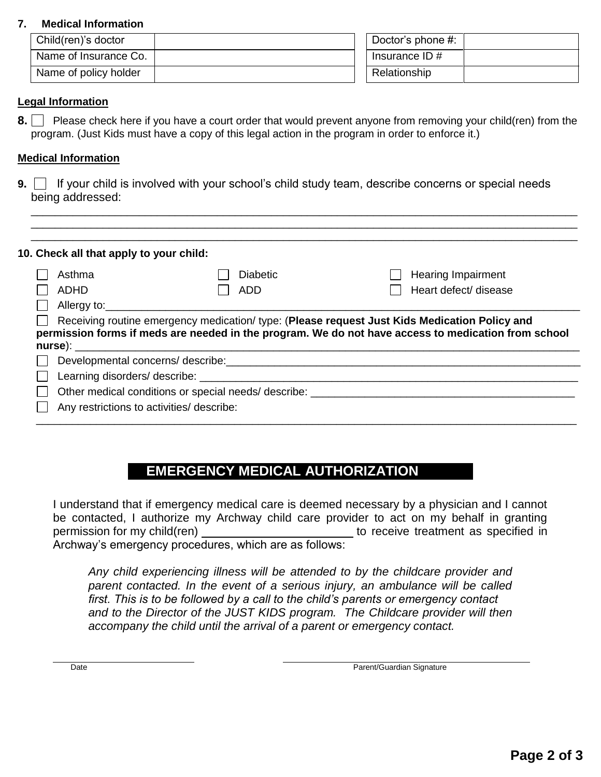### **7. Medical Information**

| Child(ren)'s doctor   |  | Doctor's phone #: |  |
|-----------------------|--|-------------------|--|
| Name of Insurance Co. |  | Insurance ID $#$  |  |
| Name of policy holder |  | Relationship      |  |

### **Legal Information**

**8.** Please check here if you have a court order that would prevent anyone from removing your child(ren) from the program. (Just Kids must have a copy of this legal action in the program in order to enforce it.)

 $\_$  ,  $\_$  ,  $\_$  ,  $\_$  ,  $\_$  ,  $\_$  ,  $\_$  ,  $\_$  ,  $\_$  ,  $\_$  ,  $\_$  ,  $\_$  ,  $\_$  ,  $\_$  ,  $\_$  ,  $\_$  ,  $\_$  ,  $\_$  ,  $\_$  ,  $\_$  ,  $\_$  ,  $\_$  ,  $\_$  ,  $\_$  ,  $\_$  ,  $\_$  ,  $\_$  ,  $\_$  ,  $\_$  ,  $\_$  ,  $\_$  ,  $\_$  ,  $\_$  ,  $\_$  ,  $\_$  ,  $\_$  ,  $\_$  ,  $\_$  ,  $\_$  ,  $\_$  ,  $\_$  ,  $\_$  ,  $\_$  ,  $\_$  ,  $\_$  ,  $\_$  ,  $\_$  ,  $\_$  ,  $\_$  ,  $\_$  ,  $\_$  ,  $\_$  ,  $\_$  ,  $\_$  ,  $\_$  ,  $\_$  ,  $\_$  ,  $\_$  ,  $\_$  ,  $\_$  ,  $\_$  ,  $\_$  ,  $\_$  ,  $\_$  ,  $\_$  ,  $\_$  ,  $\_$  ,  $\_$  ,  $\_$  ,  $\_$  ,  $\_$  ,  $\_$  ,  $\_$  ,  $\_$  ,

### **Medical Information**

**9.** If your child is involved with your school's child study team, describe concerns or special needs being addressed:

| 10. Check all that apply to your child:<br>Asthma | <b>Diabetic</b>                                                                                                                                                                                                                | <b>Hearing Impairment</b>                                                                           |
|---------------------------------------------------|--------------------------------------------------------------------------------------------------------------------------------------------------------------------------------------------------------------------------------|-----------------------------------------------------------------------------------------------------|
| ADHD                                              | ADD                                                                                                                                                                                                                            | Heart defect/ disease                                                                               |
| Allergy to:                                       |                                                                                                                                                                                                                                |                                                                                                     |
|                                                   |                                                                                                                                                                                                                                |                                                                                                     |
|                                                   |                                                                                                                                                                                                                                |                                                                                                     |
|                                                   |                                                                                                                                                                                                                                | Receiving routine emergency medication/ type: (Please request Just Kids Medication Policy and       |
| nurse):                                           |                                                                                                                                                                                                                                |                                                                                                     |
|                                                   | Developmental concerns/ describe: example of the state of the state of the state of the state of the state of the state of the state of the state of the state of the state of the state of the state of the state of the stat |                                                                                                     |
|                                                   | Learning disorders/ describe:                                                                                                                                                                                                  | permission forms if meds are needed in the program. We do not have access to medication from school |
|                                                   | Other medical conditions or special needs/ describe: ___________________________                                                                                                                                               |                                                                                                     |

# **EMERGENCY MEDICAL AUTHORIZATION**

I understand that if emergency medical care is deemed necessary by a physician and I cannot be contacted, I authorize my Archway child care provider to act on my behalf in granting permission for my child(ren) to receive treatment as specified in Archway's emergency procedures, which are as follows:

*Any child experiencing illness will be attended to by the childcare provider and*  parent contacted. In the event of a serious injury, an ambulance will be called *first. This is to be followed by a call to the child's parents or emergency contact and to the Director of the JUST KIDS program. The Childcare provider will then accompany the child until the arrival of a parent or emergency contact.*

Date **Date Parent/Guardian Signature** Parent/Guardian Signature